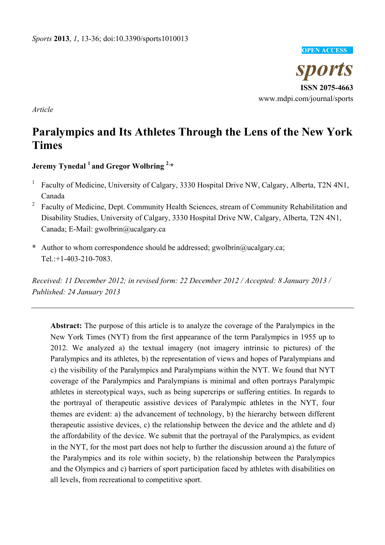#### **OPEN ACCESS**

*sports*  **ISSN 2075-4663**  www.mdpi.com/journal/sports

*Article* 

# **Paralympics and Its Athletes Through the Lens of the New York Times**

**Jeremy Tynedal 1 and Gregor Wolbring 2**, **\***

- 1 Faculty of Medicine, University of Calgary, 3330 Hospital Drive NW, Calgary, Alberta, T2N 4N1, Canada
- 2 Faculty of Medicine, Dept. Community Health Sciences, stream of Community Rehabilitation and Disability Studies, University of Calgary, 3330 Hospital Drive NW, Calgary, Alberta, T2N 4N1, Canada; E-Mail: gwolbrin@ucalgary.ca
- **\*** Author to whom correspondence should be addressed; gwolbrin@ucalgary.ca; Tel.:+1-403-210-7083.

*Received: 11 December 2012; in revised form: 22 December 2012 / Accepted: 8 January 2013 / Published: 24 January 2013* 

**Abstract:** The purpose of this article is to analyze the coverage of the Paralympics in the New York Times (NYT) from the first appearance of the term Paralympics in 1955 up to 2012. We analyzed a) the textual imagery (not imagery intrinsic to pictures) of the Paralympics and its athletes, b) the representation of views and hopes of Paralympians and c) the visibility of the Paralympics and Paralympians within the NYT. We found that NYT coverage of the Paralympics and Paralympians is minimal and often portrays Paralympic athletes in stereotypical ways, such as being supercrips or suffering entities. In regards to the portrayal of therapeutic assistive devices of Paralympic athletes in the NYT, four themes are evident: a) the advancement of technology, b) the hierarchy between different therapeutic assistive devices, c) the relationship between the device and the athlete and d) the affordability of the device. We submit that the portrayal of the Paralympics, as evident in the NYT, for the most part does not help to further the discussion around a) the future of the Paralympics and its role within society, b) the relationship between the Paralympics and the Olympics and c) barriers of sport participation faced by athletes with disabilities on all levels, from recreational to competitive sport.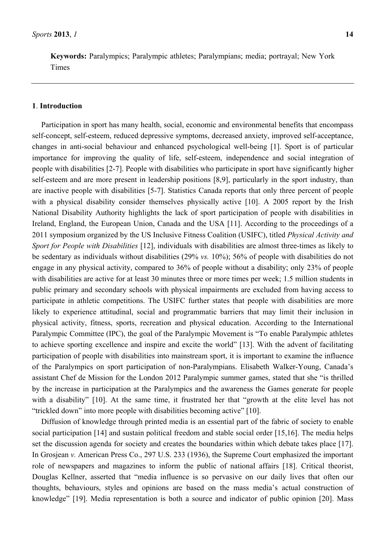**Keywords:** Paralympics; Paralympic athletes; Paralympians; media; portrayal; New York Times

#### **1**. **Introduction**

Participation in sport has many health, social, economic and environmental benefits that encompass self-concept, self-esteem, reduced depressive symptoms, decreased anxiety, improved self-acceptance, changes in anti-social behaviour and enhanced psychological well-being [1]. Sport is of particular importance for improving the quality of life, self-esteem, independence and social integration of people with disabilities [2-7]. People with disabilities who participate in sport have significantly higher self-esteem and are more present in leadership positions [8,9], particularly in the sport industry, than are inactive people with disabilities [5-7]. Statistics Canada reports that only three percent of people with a physical disability consider themselves physically active [10]. A 2005 report by the Irish National Disability Authority highlights the lack of sport participation of people with disabilities in Ireland, England, the European Union, Canada and the USA [11]. According to the proceedings of a 2011 symposium organized by the US Inclusive Fitness Coalition (USIFC), titled *Physical Activity and Sport for People with Disabilities* [12], individuals with disabilities are almost three-times as likely to be sedentary as individuals without disabilities (29% *vs.* 10%); 56% of people with disabilities do not engage in any physical activity, compared to 36% of people without a disability; only 23% of people with disabilities are active for at least 30 minutes three or more times per week; 1.5 million students in public primary and secondary schools with physical impairments are excluded from having access to participate in athletic competitions. The USIFC further states that people with disabilities are more likely to experience attitudinal, social and programmatic barriers that may limit their inclusion in physical activity, fitness, sports, recreation and physical education. According to the International Paralympic Committee (IPC), the goal of the Paralympic Movement is "To enable Paralympic athletes to achieve sporting excellence and inspire and excite the world" [13]. With the advent of facilitating participation of people with disabilities into mainstream sport, it is important to examine the influence of the Paralympics on sport participation of non-Paralympians. Elisabeth Walker-Young, Canada's assistant Chef de Mission for the London 2012 Paralympic summer games, stated that she "is thrilled by the increase in participation at the Paralympics and the awareness the Games generate for people with a disability" [10]. At the same time, it frustrated her that "growth at the elite level has not "trickled down" into more people with disabilities becoming active" [10].

Diffusion of knowledge through printed media is an essential part of the fabric of society to enable social participation [14] and sustain political freedom and stable social order [15,16]. The media helps set the discussion agenda for society and creates the boundaries within which debate takes place [17]. In Grosjean *v.* American Press Co., 297 U.S. 233 (1936), the Supreme Court emphasized the important role of newspapers and magazines to inform the public of national affairs [18]. Critical theorist, Douglas Kellner, asserted that "media influence is so pervasive on our daily lives that often our thoughts, behaviours, styles and opinions are based on the mass media's actual construction of knowledge" [19]. Media representation is both a source and indicator of public opinion [20]. Mass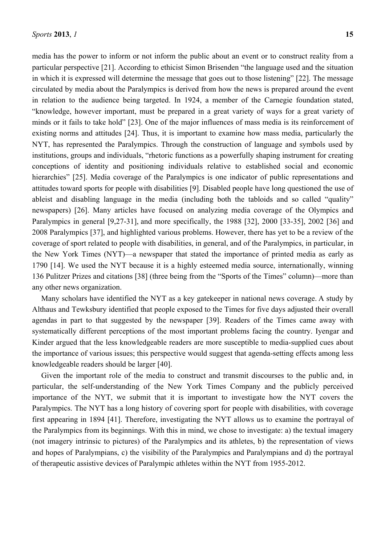media has the power to inform or not inform the public about an event or to construct reality from a particular perspective [21]. According to ethicist Simon Brisenden "the language used and the situation in which it is expressed will determine the message that goes out to those listening" [22]. The message circulated by media about the Paralympics is derived from how the news is prepared around the event in relation to the audience being targeted. In 1924, a member of the Carnegie foundation stated, "knowledge, however important, must be prepared in a great variety of ways for a great variety of minds or it fails to take hold" [23]. One of the major influences of mass media is its reinforcement of existing norms and attitudes [24]. Thus, it is important to examine how mass media, particularly the NYT, has represented the Paralympics. Through the construction of language and symbols used by institutions, groups and individuals, "rhetoric functions as a powerfully shaping instrument for creating conceptions of identity and positioning individuals relative to established social and economic hierarchies" [25]. Media coverage of the Paralympics is one indicator of public representations and attitudes toward sports for people with disabilities [9]. Disabled people have long questioned the use of ableist and disabling language in the media (including both the tabloids and so called "quality" newspapers) [26]. Many articles have focused on analyzing media coverage of the Olympics and Paralympics in general [9,27-31], and more specifically, the 1988 [32], 2000 [33-35], 2002 [36] and 2008 Paralympics [37], and highlighted various problems. However, there has yet to be a review of the coverage of sport related to people with disabilities, in general, and of the Paralympics, in particular, in the New York Times (NYT)—a newspaper that stated the importance of printed media as early as 1790 [14]. We used the NYT because it is a highly esteemed media source, internationally, winning 136 Pulitzer Prizes and citations [38] (three being from the "Sports of the Times" column)—more than any other news organization.

Many scholars have identified the NYT as a key gatekeeper in national news coverage. A study by Althaus and Tewksbury identified that people exposed to the Times for five days adjusted their overall agendas in part to that suggested by the newspaper [39]. Readers of the Times came away with systematically different perceptions of the most important problems facing the country. Iyengar and Kinder argued that the less knowledgeable readers are more susceptible to media-supplied cues about the importance of various issues; this perspective would suggest that agenda-setting effects among less knowledgeable readers should be larger [40].

Given the important role of the media to construct and transmit discourses to the public and, in particular, the self-understanding of the New York Times Company and the publicly perceived importance of the NYT, we submit that it is important to investigate how the NYT covers the Paralympics. The NYT has a long history of covering sport for people with disabilities, with coverage first appearing in 1894 [41]. Therefore, investigating the NYT allows us to examine the portrayal of the Paralympics from its beginnings. With this in mind, we chose to investigate: a) the textual imagery (not imagery intrinsic to pictures) of the Paralympics and its athletes, b) the representation of views and hopes of Paralympians, c) the visibility of the Paralympics and Paralympians and d) the portrayal of therapeutic assistive devices of Paralympic athletes within the NYT from 1955-2012.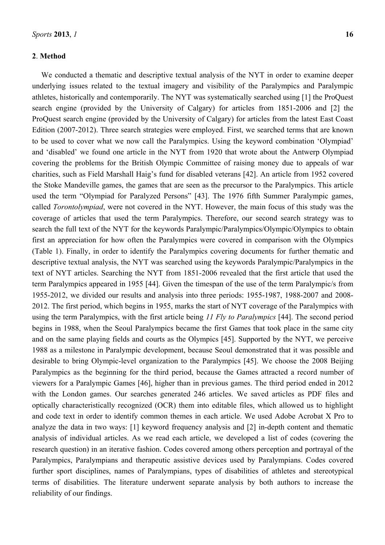#### **2**. **Method**

We conducted a thematic and descriptive textual analysis of the NYT in order to examine deeper underlying issues related to the textual imagery and visibility of the Paralympics and Paralympic athletes, historically and contemporarily. The NYT was systematically searched using [1] the ProQuest search engine (provided by the University of Calgary) for articles from 1851-2006 and [2] the ProQuest search engine (provided by the University of Calgary) for articles from the latest East Coast Edition (2007-2012). Three search strategies were employed. First, we searched terms that are known to be used to cover what we now call the Paralympics. Using the keyword combination 'Olympiad' and 'disabled' we found one article in the NYT from 1920 that wrote about the Antwerp Olympiad covering the problems for the British Olympic Committee of raising money due to appeals of war charities, such as Field Marshall Haig's fund for disabled veterans [42]. An article from 1952 covered the Stoke Mandeville games, the games that are seen as the precursor to the Paralympics. This article used the term "Olympiad for Paralyzed Persons" [43]. The 1976 fifth Summer Paralympic games, called *Torontolympiad*, were not covered in the NYT. However, the main focus of this study was the coverage of articles that used the term Paralympics. Therefore, our second search strategy was to search the full text of the NYT for the keywords Paralympic/Paralympics/Olympic/Olympics to obtain first an appreciation for how often the Paralympics were covered in comparison with the Olympics (Table 1). Finally, in order to identify the Paralympics covering documents for further thematic and descriptive textual analysis, the NYT was searched using the keywords Paralympic/Paralympics in the text of NYT articles. Searching the NYT from 1851-2006 revealed that the first article that used the term Paralympics appeared in 1955 [44]. Given the timespan of the use of the term Paralympic/s from 1955-2012, we divided our results and analysis into three periods: 1955-1987, 1988-2007 and 2008- 2012. The first period, which begins in 1955, marks the start of NYT coverage of the Paralympics with using the term Paralympics, with the first article being *11 Fly to Paralympics* [44]. The second period begins in 1988, when the Seoul Paralympics became the first Games that took place in the same city and on the same playing fields and courts as the Olympics [45]. Supported by the NYT, we perceive 1988 as a milestone in Paralympic development, because Seoul demonstrated that it was possible and desirable to bring Olympic-level organization to the Paralympics [45]. We choose the 2008 Beijing Paralympics as the beginning for the third period, because the Games attracted a record number of viewers for a Paralympic Games [46], higher than in previous games. The third period ended in 2012 with the London games. Our searches generated 246 articles. We saved articles as PDF files and optically characteristically recognized (OCR) them into editable files, which allowed us to highlight and code text in order to identify common themes in each article. We used Adobe Acrobat X Pro to analyze the data in two ways: [1] keyword frequency analysis and [2] in-depth content and thematic analysis of individual articles. As we read each article, we developed a list of codes (covering the research question) in an iterative fashion. Codes covered among others perception and portrayal of the Paralympics, Paralympians and therapeutic assistive devices used by Paralympians. Codes covered further sport disciplines, names of Paralympians, types of disabilities of athletes and stereotypical terms of disabilities. The literature underwent separate analysis by both authors to increase the reliability of our findings.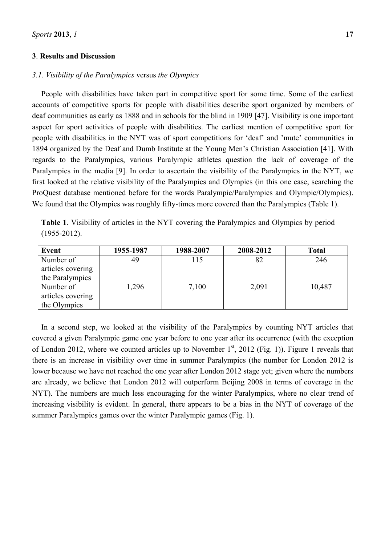#### **3**. **Results and Discussion**

## *3.1. Visibility of the Paralympics* versus *the Olympics*

People with disabilities have taken part in competitive sport for some time. Some of the earliest accounts of competitive sports for people with disabilities describe sport organized by members of deaf communities as early as 1888 and in schools for the blind in 1909 [47]. Visibility is one important aspect for sport activities of people with disabilities. The earliest mention of competitive sport for people with disabilities in the NYT was of sport competitions for 'deaf' and 'mute' communities in 1894 organized by the Deaf and Dumb Institute at the Young Men's Christian Association [41]. With regards to the Paralympics, various Paralympic athletes question the lack of coverage of the Paralympics in the media [9]. In order to ascertain the visibility of the Paralympics in the NYT, we first looked at the relative visibility of the Paralympics and Olympics (in this one case, searching the ProQuest database mentioned before for the words Paralympic/Paralympics and Olympic/Olympics). We found that the Olympics was roughly fifty-times more covered than the Paralympics (Table 1).

**Table 1**. Visibility of articles in the NYT covering the Paralympics and Olympics by period (1955-2012).

| Event             | 1955-1987 | 1988-2007 | 2008-2012 | <b>Total</b> |
|-------------------|-----------|-----------|-----------|--------------|
| Number of         | 49        | 115       | 82        | 246          |
| articles covering |           |           |           |              |
| the Paralympics   |           |           |           |              |
| Number of         | 1,296     | 7,100     | 2,091     | 10,487       |
| articles covering |           |           |           |              |
| the Olympics      |           |           |           |              |

In a second step, we looked at the visibility of the Paralympics by counting NYT articles that covered a given Paralympic game one year before to one year after its occurrence (with the exception of London 2012, where we counted articles up to November  $1<sup>st</sup>$ , 2012 (Fig. 1)). Figure 1 reveals that there is an increase in visibility over time in summer Paralympics (the number for London 2012 is lower because we have not reached the one year after London 2012 stage yet; given where the numbers are already, we believe that London 2012 will outperform Beijing 2008 in terms of coverage in the NYT). The numbers are much less encouraging for the winter Paralympics, where no clear trend of increasing visibility is evident. In general, there appears to be a bias in the NYT of coverage of the summer Paralympics games over the winter Paralympic games (Fig. 1).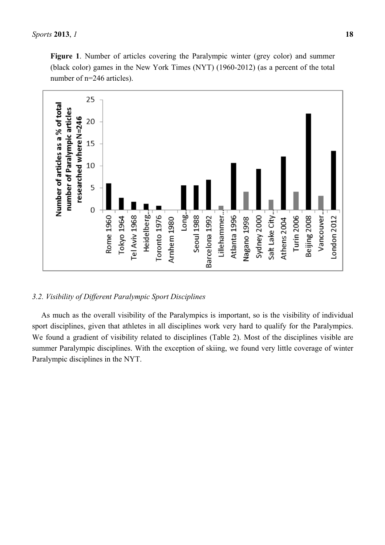

## *3.2. Visibility of Different Paralympic Sport Disciplines*

As much as the overall visibility of the Paralympics is important, so is the visibility of individual sport disciplines, given that athletes in all disciplines work very hard to qualify for the Paralympics. We found a gradient of visibility related to disciplines (Table 2). Most of the disciplines visible are summer Paralympic disciplines. With the exception of skiing, we found very little coverage of winter Paralympic disciplines in the NYT.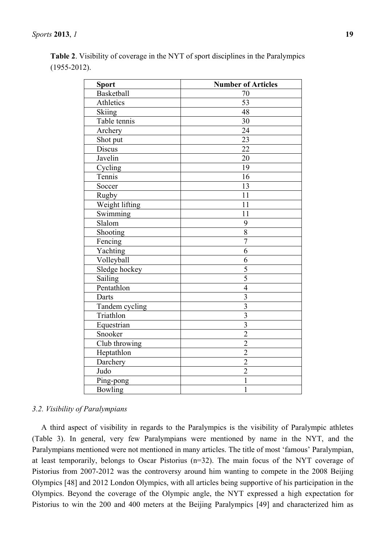|                   | <b>Table 2.</b> Visibility of coverage in the NYT of sport disciplines in the Paralympics |  |  |
|-------------------|-------------------------------------------------------------------------------------------|--|--|
| $(1955 - 2012)$ . |                                                                                           |  |  |

| <b>Sport</b>      | <b>Number of Articles</b> |
|-------------------|---------------------------|
| <b>Basketball</b> | 70                        |
| Athletics         | 53                        |
| Skiing            | 48                        |
| Table tennis      | 30                        |
| Archery           | $\overline{24}$           |
| Shot put          | 23                        |
| <b>Discus</b>     | 22                        |
| Javelin           | 20                        |
| Cycling           | 19                        |
| Tennis            | $\overline{16}$           |
| Soccer            | 13                        |
| <b>Rugby</b>      | 11                        |
| Weight lifting    | 11                        |
| Swimming          | 11                        |
| Slalom            | 9                         |
| Shooting          | $\overline{8}$            |
| Fencing           | $\overline{7}$            |
| Yachting          | 6                         |
| Volleyball        | 6                         |
| Sledge hockey     | $\overline{5}$            |
| Sailing           | 5                         |
| Pentathlon        | $\overline{4}$            |
| Darts             | $\overline{3}$            |
| Tandem cycling    | 3                         |
| Triathlon         | $\overline{3}$            |
| Equestrian        | $\overline{\mathbf{3}}$   |
| Snooker           | $\overline{2}$            |
| Club throwing     | $\overline{2}$            |
| Heptathlon        | $\overline{2}$            |
| Darchery          | $\overline{2}$            |
| Judo              | $\overline{2}$            |
| Ping-pong         | $\mathbf{1}$              |
| <b>Bowling</b>    | 1                         |

## *3.2. Visibility of Paralympians*

A third aspect of visibility in regards to the Paralympics is the visibility of Paralympic athletes (Table 3). In general, very few Paralympians were mentioned by name in the NYT, and the Paralympians mentioned were not mentioned in many articles. The title of most 'famous' Paralympian, at least temporarily, belongs to Oscar Pistorius (n=32). The main focus of the NYT coverage of Pistorius from 2007-2012 was the controversy around him wanting to compete in the 2008 Beijing Olympics [48] and 2012 London Olympics, with all articles being supportive of his participation in the Olympics. Beyond the coverage of the Olympic angle, the NYT expressed a high expectation for Pistorius to win the 200 and 400 meters at the Beijing Paralympics [49] and characterized him as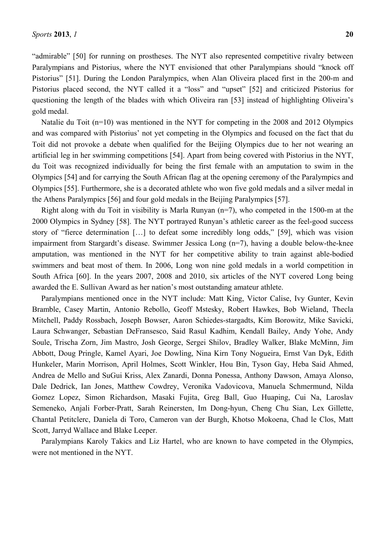"admirable" [50] for running on prostheses. The NYT also represented competitive rivalry between Paralympians and Pistorius, where the NYT envisioned that other Paralympians should "knock off Pistorius" [51]. During the London Paralympics, when Alan Oliveira placed first in the 200-m and Pistorius placed second, the NYT called it a "loss" and "upset" [52] and criticized Pistorius for questioning the length of the blades with which Oliveira ran [53] instead of highlighting Oliveira's gold medal.

Natalie du Toit (n=10) was mentioned in the NYT for competing in the 2008 and 2012 Olympics and was compared with Pistorius' not yet competing in the Olympics and focused on the fact that du Toit did not provoke a debate when qualified for the Beijing Olympics due to her not wearing an artificial leg in her swimming competitions [54]. Apart from being covered with Pistorius in the NYT, du Toit was recognized individually for being the first female with an amputation to swim in the Olympics [54] and for carrying the South African flag at the opening ceremony of the Paralympics and Olympics [55]. Furthermore, she is a decorated athlete who won five gold medals and a silver medal in the Athens Paralympics [56] and four gold medals in the Beijing Paralympics [57].

Right along with du Toit in visibility is Marla Runyan (n=7), who competed in the 1500-m at the 2000 Olympics in Sydney [58]. The NYT portrayed Runyan's athletic career as the feel-good success story of "fierce determination […] to defeat some incredibly long odds," [59], which was vision impairment from Stargardt's disease. Swimmer Jessica Long (n=7), having a double below-the-knee amputation, was mentioned in the NYT for her competitive ability to train against able-bodied swimmers and beat most of them. In 2006, Long won nine gold medals in a world competition in South Africa [60]. In the years 2007, 2008 and 2010, six articles of the NYT covered Long being awarded the E. Sullivan Award as her nation's most outstanding amateur athlete.

Paralympians mentioned once in the NYT include: Matt King, Victor Calise, Ivy Gunter, Kevin Bramble, Casey Martin, Antonio Rebollo, Geoff Mstesky, Robert Hawkes, Bob Wieland, Thecla Mitchell, Paddy Rossbach, Joseph Bowser, Aaron Schiedes-stargadts, Kim Borowitz, Mike Savicki, Laura Schwanger, Sebastian DeFransesco, Said Rasul Kadhim, Kendall Bailey, Andy Yohe, Andy Soule, Trischa Zorn, Jim Mastro, Josh George, Sergei Shilov, Bradley Walker, Blake McMinn, Jim Abbott, Doug Pringle, Kamel Ayari, Joe Dowling, Nina Kirn Tony Nogueira, Ernst Van Dyk, Edith Hunkeler, Marin Morrison, April Holmes, Scott Winkler, Hou Bin, Tyson Gay, Heba Said Ahmed, Andrea de Mello and SuGui Kriss, Alex Zanardi, Donna Ponessa, Anthony Dawson, Amaya Alonso, Dale Dedrick, Ian Jones, Matthew Cowdrey, Veronika Vadovicova, Manuela Schmermund, Nilda Gomez Lopez, Simon Richardson, Masaki Fujita, Greg Ball, Guo Huaping, Cui Na, Laroslav Semeneko, Anjali Forber-Pratt, Sarah Reinersten, Im Dong-hyun, Cheng Chu Sian, Lex Gillette, Chantal Petitclerc, Daniela di Toro, Cameron van der Burgh, Khotso Mokoena, Chad le Clos, Matt Scott, Jarryd Wallace and Blake Leeper.

Paralympians Karoly Takics and Liz Hartel, who are known to have competed in the Olympics, were not mentioned in the NYT.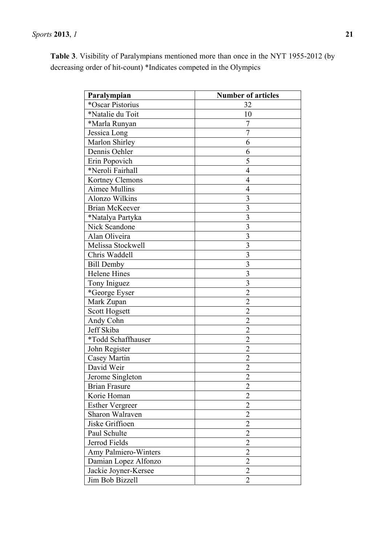**Table 3**. Visibility of Paralympians mentioned more than once in the NYT 1955-2012 (by decreasing order of hit-count) \*Indicates competed in the Olympics

| Paralympian            | <b>Number of articles</b> |
|------------------------|---------------------------|
| *Oscar Pistorius       | 32                        |
| *Natalie du Toit       | 10                        |
| *Marla Runyan          | 7                         |
| Jessica Long           | 7                         |
| Marlon Shirley         | 6                         |
| Dennis Oehler          | 6                         |
| Erin Popovich          | 5                         |
| *Neroli Fairhall       | $\overline{4}$            |
| Kortney Clemons        | $\overline{4}$            |
| <b>Aimee Mullins</b>   | $\overline{4}$            |
| Alonzo Wilkins         | 3                         |
| <b>Brian McKeever</b>  | 3                         |
| *Natalya Partyka       | 3                         |
| Nick Scandone          | 3                         |
| Alan Oliveira          | 3                         |
| Melissa Stockwell      | 3                         |
| Chris Waddell          | 3                         |
| <b>Bill Demby</b>      | 3                         |
| <b>Helene Hines</b>    | 3                         |
| Tony Iniguez           | $\overline{3}$            |
| *George Eyser          | $\overline{2}$            |
| Mark Zupan             | $\overline{2}$            |
| Scott Hogsett          | $\overline{2}$            |
| Andy Cohn              | $\overline{2}$            |
| Jeff Skiba             | $\overline{2}$            |
| *Todd Schaffhauser     | $\overline{2}$            |
| John Register          | $\overline{2}$            |
| <b>Casey Martin</b>    | $\overline{2}$            |
| David Weir             | $\overline{2}$            |
| Jerome Singleton       | $\overline{2}$            |
| <b>Brian Frasure</b>   | $\overline{2}$            |
| Korie Homan            | $\overline{2}$            |
| <b>Esther Vergreer</b> | $\overline{2}$            |
| Sharon Walraven        | $\overline{2}$            |
| Jiske Griffioen        | $\overline{2}$            |
| Paul Schulte           | $\overline{2}$            |
| Jerrod Fields          | $\overline{2}$            |
| Amy Palmiero-Winters   | $\overline{2}$            |
| Damian Lopez Alfonzo   | $\overline{2}$            |
| Jackie Joyner-Kersee   | $\overline{2}$            |
| Jim Bob Bizzell        | $\overline{2}$            |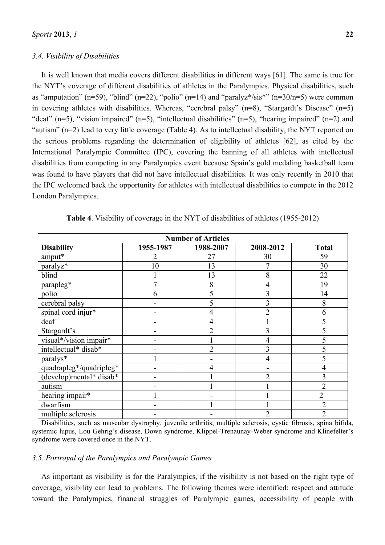#### *3.4. Visibility of Disabilities*

It is well known that media covers different disabilities in different ways [61]. The same is true for the NYT's coverage of different disabilities of athletes in the Paralympics. Physical disabilities, such as "amputation" (n=59), "blind" (n=22), "polio" (n=14) and "paralyz $\ast$ 'sis $\ast$ " (n=30/n=5) were common in covering athletes with disabilities. Whereas, "cerebral palsy" (n=8), "Stargardt's Disease" (n=5) "deaf" (n=5), "vision impaired" (n=5), "intellectual disabilities" (n=5), "hearing impaired" (n=2) and "autism" (n=2) lead to very little coverage (Table 4). As to intellectual disability, the NYT reported on the serious problems regarding the determination of eligibility of athletes [62], as cited by the International Paralympic Committee (IPC), covering the banning of all athletes with intellectual disabilities from competing in any Paralympics event because Spain's gold medaling basketball team was found to have players that did not have intellectual disabilities. It was only recently in 2010 that the IPC welcomed back the opportunity for athletes with intellectual disabilities to compete in the 2012 London Paralympics.

| <b>Number of Articles</b>  |           |                |                |                |  |
|----------------------------|-----------|----------------|----------------|----------------|--|
| <b>Disability</b>          | 1955-1987 | 1988-2007      | 2008-2012      | <b>Total</b>   |  |
| amput*                     | 2         | 27             | 30             | 59             |  |
| paralyz*                   | 10        | 13             | 7              | 30             |  |
| blind                      |           | 13             | 8              | 22             |  |
| parapleg*                  | 7         | 8              | 4              | 19             |  |
| polio                      | 6         | 5              | 3              | 14             |  |
| cerebral palsy             |           | 5              | 3              | 8              |  |
| spinal cord injur*         |           | 4              | $\overline{2}$ | 6              |  |
| deaf                       |           | 4              |                | 5              |  |
| Stargardt's                |           | າ              | 3              |                |  |
| visual*/vision impair*     |           |                | 4              |                |  |
| intellectual* disab*       |           | $\overline{2}$ | 3              |                |  |
| paralys*                   |           |                |                |                |  |
| quadrapleg*/quadripleg*    |           |                |                |                |  |
| $(develop)$ mental* disab* |           |                | $\overline{2}$ | 3              |  |
| autism                     |           |                |                | $\overline{2}$ |  |
| hearing impair*            |           |                |                | $\overline{2}$ |  |
| dwarfism                   |           |                |                | $\overline{2}$ |  |
| multiple sclerosis         |           |                | $\overline{2}$ | $\overline{2}$ |  |

**Table 4**. Visibility of coverage in the NYT of disabilities of athletes (1955-2012)

Disabilities, such as muscular dystrophy, juvenile arthritis, multiple sclerosis, cystic fibrosis, spina bifida, systemic lupus, Lou Gehrig's disease, Down syndrome, Klippel-Trenaunay-Weber syndrome and Klinefelter's syndrome were covered once in the NYT.

#### *3.5. Portrayal of the Paralympics and Paralympic Games*

As important as visibility is for the Paralympics, if the visibility is not based on the right type of coverage, visibility can lead to problems. The following themes were identified; respect and attitude toward the Paralympics, financial struggles of Paralympic games, accessibility of people with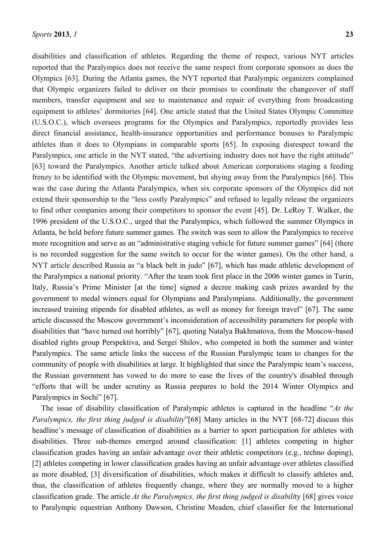disabilities and classification of athletes. Regarding the theme of respect, various NYT articles reported that the Paralympics does not receive the same respect from corporate sponsors as does the Olympics [63]. During the Atlanta games, the NYT reported that Paralympic organizers complained that Olympic organizers failed to deliver on their promises to coordinate the changeover of staff members, transfer equipment and see to maintenance and repair of everything from broadcasting equipment to athletes' dormitories [64]. One article stated that the United States Olympic Committee (U.S.O.C.), which oversees programs for the Olympics and Paralympics, reportedly provides less direct financial assistance, health-insurance opportunities and performance bonuses to Paralympic athletes than it does to Olympians in comparable sports [65]. In exposing disrespect toward the Paralympics, one article in the NYT stated, "the advertising industry does not have the right attitude" [63] toward the Paralympics. Another article talked about American corporations staging a feeding frenzy to be identified with the Olympic movement, but shying away from the Paralympics [66]. This was the case during the Atlanta Paralympics, when six corporate sponsors of the Olympics did not extend their sponsorship to the "less costly Paralympics" and refused to legally release the organizers to find other companies among their competitors to sponsor the event [45]. Dr. LeRoy T. Walker, the 1996 president of the U.S.O.C., urged that the Paralympics, which followed the summer Olympics in Atlanta, be held before future summer games. The switch was seen to allow the Paralympics to receive more recognition and serve as an "administrative staging vehicle for future summer games" [64] (there is no recorded suggestion for the same switch to occur for the winter games). On the other hand, a NYT article described Russia as "a black belt in judo" [67], which has made athletic development of the Paralympics a national priority. "After the team took first place in the 2006 winter games in Turin, Italy, Russia's Prime Minister [at the time] signed a decree making cash prizes awarded by the government to medal winners equal for Olympians and Paralympians. Additionally, the government increased training stipends for disabled athletes, as well as money for foreign travel" [67]. The same article discussed the Moscow government's inconsideration of accessibility parameters for people with disabilities that "have turned out horribly" [67], quoting Natalya Bakhmatova, from the Moscow-based disabled rights group Perspektiva, and Sergei Shilov, who competed in both the summer and winter Paralympics. The same article links the success of the Russian Paralympic team to changes for the community of people with disabilities at large. It highlighted that since the Paralympic team's success, the Russian government has vowed to do more to ease the lives of the country's disabled through "efforts that will be under scrutiny as Russia prepares to hold the 2014 Winter Olympics and Paralympics in Sochi" [67].

The issue of disability classification of Paralympic athletes is captured in the headline "*At the Paralympics, the first thing judged is disability*"[68] Many articles in the NYT [68-72] discuss this headline's message of classification of disabilities as a barrier to sport participation for athletes with disabilities. Three sub-themes emerged around classification: [1] athletes competing in higher classification grades having an unfair advantage over their athletic competitors (e.g., techno doping), [2] athletes competing in lower classification grades having an unfair advantage over athletes classified as more disabled, [3] diversification of disabilities, which makes it difficult to classify athletes and, thus, the classification of athletes frequently change, where they are normally moved to a higher classification grade. The article *At the Paralympics, the first thing judged is disabili*ty [68] gives voice to Paralympic equestrian Anthony Dawson, Christine Meaden, chief classifier for the International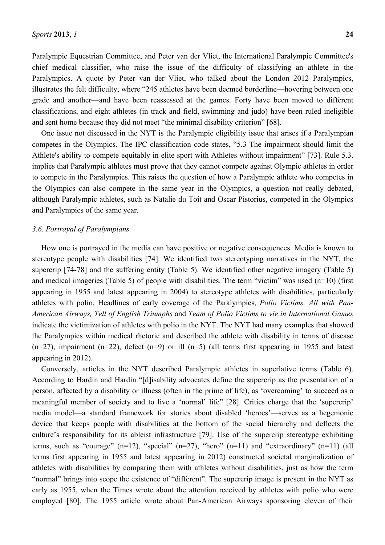Paralympic Equestrian Committee, and Peter van der Vliet, the International Paralympic Committee's chief medical classifier, who raise the issue of the difficulty of classifying an athlete in the Paralympics. A quote by Peter van der Vliet, who talked about the London 2012 Paralympics, illustrates the felt difficulty, where "245 athletes have been deemed borderline—hovering between one grade and another—and have been reassessed at the games. Forty have been moved to different classifications, and eight athletes (in track and field, swimming and judo) have been ruled ineligible and sent home because they did not meet "the minimal disability criterion" [68].

One issue not discussed in the NYT is the Paralympic eligibility issue that arises if a Paralympian competes in the Olympics. The IPC classification code states, "5.3 The impairment should limit the Athlete's ability to compete equitably in elite sport with Athletes without impairment" [73]. Rule 5.3. implies that Paralympic athletes must prove that they cannot compete against Olympic athletes in order to compete in the Paralympics. This raises the question of how a Paralympic athlete who competes in the Olympics can also compete in the same year in the Olympics, a question not really debated, although Paralympic athletes, such as Natalie du Toit and Oscar Pistorius, competed in the Olympics and Paralympics of the same year.

#### *3.6. Portrayal of Paralympians.*

How one is portrayed in the media can have positive or negative consequences. Media is known to stereotype people with disabilities [74]. We identified two stereotyping narratives in the NYT, the supercrip [74-78] and the suffering entity (Table 5). We identified other negative imagery (Table 5) and medical imageries (Table 5) of people with disabilities. The term "victim" was used (n=10) (first appearing in 1955 and latest appearing in 2004) to stereotype athletes with disabilities, particularly athletes with polio. Headlines of early coverage of the Paralympics, *Polio Victims, All with Pan-American Airways, Tell of English Triumphs* and *Team of Polio Victims to vie in International Games* indicate the victimization of athletes with polio in the NYT. The NYT had many examples that showed the Paralympics within medical rhetoric and described the athlete with disability in terms of disease  $(n=27)$ , impairment  $(n=22)$ , defect  $(n=9)$  or ill  $(n=5)$  (all terms first appearing in 1955 and latest appearing in 2012).

Conversely, articles in the NYT described Paralympic athletes in superlative terms (Table 6). According to Hardin and Hardin "[d]isability advocates define the supercrip as the presentation of a person, affected by a disability or illness (often in the prime of life), as 'overcoming' to succeed as a meaningful member of society and to live a 'normal' life" [28]. Critics charge that the 'supercrip' media model—a standard framework for stories about disabled 'heroes'—serves as a hegemonic device that keeps people with disabilities at the bottom of the social hierarchy and deflects the culture's responsibility for its ableist infrastructure [79]. Use of the supercrip stereotype exhibiting terms, such as "courage"  $(n=12)$ , "special"  $(n=27)$ , "hero"  $(n=11)$  and "extraordinary"  $(n=11)$  (all terms first appearing in 1955 and latest appearing in 2012) constructed societal marginalization of athletes with disabilities by comparing them with athletes without disabilities, just as how the term "normal" brings into scope the existence of "different". The supercrip image is present in the NYT as early as 1955, when the Times wrote about the attention received by athletes with polio who were employed [80]. The 1955 article wrote about Pan-American Airways sponsoring eleven of their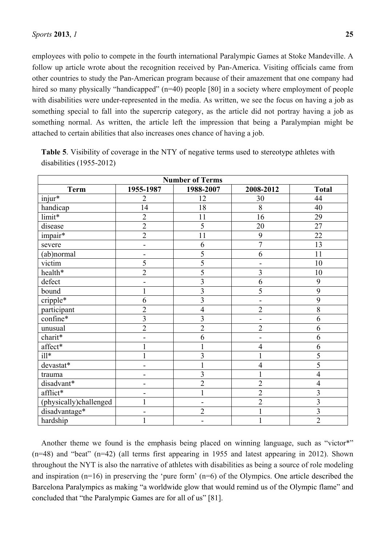employees with polio to compete in the fourth international Paralympic Games at Stoke Mandeville. A follow up article wrote about the recognition received by Pan-America. Visiting officials came from other countries to study the Pan-American program because of their amazement that one company had hired so many physically "handicapped" (n=40) people [80] in a society where employment of people with disabilities were under-represented in the media. As written, we see the focus on having a job as something special to fall into the supercrip category, as the article did not portray having a job as something normal. As written, the article left the impression that being a Paralympian might be attached to certain abilities that also increases ones chance of having a job.

| <b>Number of Terms</b> |                         |                |                |                         |  |
|------------------------|-------------------------|----------------|----------------|-------------------------|--|
| <b>Term</b>            | 1955-1987               | 1988-2007      | 2008-2012      | <b>Total</b>            |  |
| injur*                 | 2                       | 12             | 30             | 44                      |  |
| handicap               | 14                      | 18             | 8              | 40                      |  |
| limit*                 | $\overline{2}$          | 11             | 16             | 29                      |  |
| disease                | $\overline{2}$          | 5              | 20             | 27                      |  |
| impair*                | $\overline{2}$          | 11             | 9              | 22                      |  |
| severe                 |                         | 6              | $\overline{7}$ | 13                      |  |
| (ab)normal             |                         | 5              | 6              | 11                      |  |
| victim                 | 5                       | 5              | ۰              | 10                      |  |
| health*                | $\overline{2}$          | 5              | 3              | 10                      |  |
| defect                 |                         | $\overline{3}$ | 6              | 9                       |  |
| bound                  |                         | $\overline{3}$ | 5              | 9                       |  |
| cripple*               | 6                       | 3              |                | 9                       |  |
| participant            | $\overline{2}$          | $\overline{4}$ | $\overline{2}$ | 8                       |  |
| confine*               | $\overline{\mathbf{3}}$ | $\overline{3}$ |                | 6                       |  |
| unusual                | $\overline{c}$          | $\overline{2}$ | $\overline{2}$ | 6                       |  |
| charit*                |                         | 6              |                | 6                       |  |
| affect*                |                         |                | $\overline{4}$ | 6                       |  |
| $ill*$                 |                         | $\overline{3}$ | $\mathbf{1}$   | 5                       |  |
| devastat*              |                         |                | 4              | 5                       |  |
| trauma                 |                         | $\overline{3}$ |                | $\overline{4}$          |  |
| disadvant*             | -                       | $\overline{2}$ | $\overline{2}$ | $\overline{4}$          |  |
| afflict*               |                         | $\mathbf{1}$   | $\overline{2}$ | $\overline{\mathbf{3}}$ |  |
| (physically)challenged |                         |                | $\overline{2}$ | 3                       |  |
| disadvantage*          |                         | $\overline{2}$ |                | 3                       |  |
| hardship               |                         |                |                | $\overline{2}$          |  |

**Table 5**. Visibility of coverage in the NTY of negative terms used to stereotype athletes with disabilities (1955-2012)

Another theme we found is the emphasis being placed on winning language, such as "victor\*" (n=48) and "beat" (n=42) (all terms first appearing in 1955 and latest appearing in 2012). Shown throughout the NYT is also the narrative of athletes with disabilities as being a source of role modeling and inspiration (n=16) in preserving the 'pure form' (n=6) of the Olympics. One article described the Barcelona Paralympics as making "a worldwide glow that would remind us of the Olympic flame" and concluded that "the Paralympic Games are for all of us" [81].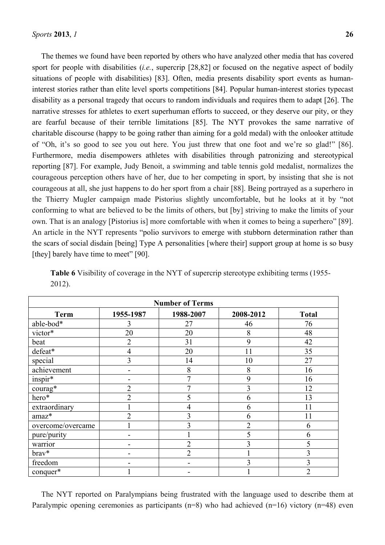The themes we found have been reported by others who have analyzed other media that has covered sport for people with disabilities (*i.e.*, supercrip [28,82] or focused on the negative aspect of bodily situations of people with disabilities) [83]. Often, media presents disability sport events as humaninterest stories rather than elite level sports competitions [84]. Popular human-interest stories typecast disability as a personal tragedy that occurs to random individuals and requires them to adapt [26]. The narrative stresses for athletes to exert superhuman efforts to succeed, or they deserve our pity, or they are fearful because of their terrible limitations [85]. The NYT provokes the same narrative of charitable discourse (happy to be going rather than aiming for a gold medal) with the onlooker attitude of "Oh, it's so good to see you out here. You just threw that one foot and we're so glad!" [86]. Furthermore, media disempowers athletes with disabilities through patronizing and stereotypical reporting [87]. For example, Judy Benoit, a swimming and table tennis gold medalist, normalizes the courageous perception others have of her, due to her competing in sport, by insisting that she is not courageous at all, she just happens to do her sport from a chair [88]. Being portrayed as a superhero in the Thierry Mugler campaign made Pistorius slightly uncomfortable, but he looks at it by "not conforming to what are believed to be the limits of others, but [by] striving to make the limits of your own. That is an analogy [Pistorius is] more comfortable with when it comes to being a superhero" [89]. An article in the NYT represents "polio survivors to emerge with stubborn determination rather than the scars of social disdain [being] Type A personalities [where their] support group at home is so busy [they] barely have time to meet" [90].

| <b>Number of Terms</b> |                |                |                |                |  |
|------------------------|----------------|----------------|----------------|----------------|--|
| <b>Term</b>            | 1955-1987      | 1988-2007      | 2008-2012      | <b>Total</b>   |  |
| able-bod*              | 3              | 27             | 46             | 76             |  |
| victor*                | 20             | 20             | 8              | 48             |  |
| beat                   | $\overline{2}$ | 31             | 9              | 42             |  |
| defeat*                | 4              | 20             | 11             | 35             |  |
| special                | 3              | 14             | 10             | 27             |  |
| achievement            | $\blacksquare$ | 8              | 8              | 16             |  |
| $inspir*$              | -              | 7              | 9              | 16             |  |
| courag*                | $\overline{2}$ | 7              | 3              | 12             |  |
| hero*                  | $\overline{2}$ | 5              | 6              | 13             |  |
| extraordinary          |                | $\overline{4}$ | 6              | 11             |  |
| amaz*                  | $\overline{2}$ | 3              | 6              | 11             |  |
| overcome/overcame      |                | 3              | $\overline{2}$ | 6              |  |
| pure/purity            |                |                | 5              | 6              |  |
| warrior                |                | $\overline{2}$ | 3              | 5              |  |
| brav*                  |                | $\overline{2}$ |                | 3              |  |
| freedom                |                |                | 3              | $\overline{3}$ |  |
| conquer*               |                |                |                | $\overline{2}$ |  |

**Table 6** Visibility of coverage in the NYT of supercrip stereotype exhibiting terms (1955- 2012).

The NYT reported on Paralympians being frustrated with the language used to describe them at Paralympic opening ceremonies as participants ( $n=8$ ) who had achieved ( $n=16$ ) victory ( $n=48$ ) even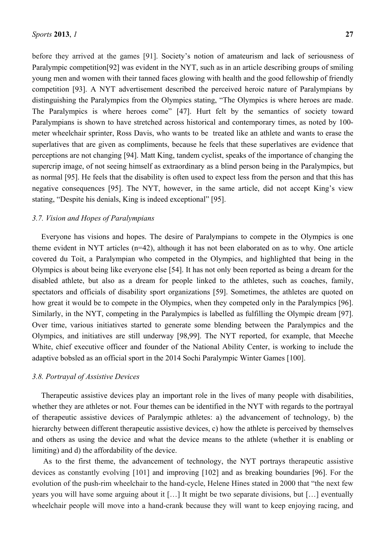before they arrived at the games [91]. Society's notion of amateurism and lack of seriousness of Paralympic competition[92] was evident in the NYT, such as in an article describing groups of smiling young men and women with their tanned faces glowing with health and the good fellowship of friendly competition [93]. A NYT advertisement described the perceived heroic nature of Paralympians by distinguishing the Paralympics from the Olympics stating, "The Olympics is where heroes are made. The Paralympics is where heroes come" [47]. Hurt felt by the semantics of society toward Paralympians is shown to have stretched across historical and contemporary times, as noted by 100 meter wheelchair sprinter, Ross Davis, who wants to be treated like an athlete and wants to erase the superlatives that are given as compliments, because he feels that these superlatives are evidence that perceptions are not changing [94]. Matt King, tandem cyclist, speaks of the importance of changing the supercrip image, of not seeing himself as extraordinary as a blind person being in the Paralympics, but as normal [95]. He feels that the disability is often used to expect less from the person and that this has negative consequences [95]. The NYT, however, in the same article, did not accept King's view stating, "Despite his denials, King is indeed exceptional" [95].

## *3.7. Vision and Hopes of Paralympians*

Everyone has visions and hopes. The desire of Paralympians to compete in the Olympics is one theme evident in NYT articles (n=42), although it has not been elaborated on as to why. One article covered du Toit, a Paralympian who competed in the Olympics, and highlighted that being in the Olympics is about being like everyone else [54]. It has not only been reported as being a dream for the disabled athlete, but also as a dream for people linked to the athletes, such as coaches, family, spectators and officials of disability sport organizations [59]. Sometimes, the athletes are quoted on how great it would be to compete in the Olympics, when they competed only in the Paralympics [96]. Similarly, in the NYT, competing in the Paralympics is labelled as fulfilling the Olympic dream [97]. Over time, various initiatives started to generate some blending between the Paralympics and the Olympics, and initiatives are still underway [98,99]. The NYT reported, for example, that Meeche White, chief executive officer and founder of the National Ability Center, is working to include the adaptive bobsled as an official sport in the 2014 Sochi Paralympic Winter Games [100].

#### *3.8. Portrayal of Assistive Devices*

Therapeutic assistive devices play an important role in the lives of many people with disabilities, whether they are athletes or not. Four themes can be identified in the NYT with regards to the portrayal of therapeutic assistive devices of Paralympic athletes: a) the advancement of technology, b) the hierarchy between different therapeutic assistive devices, c) how the athlete is perceived by themselves and others as using the device and what the device means to the athlete (whether it is enabling or limiting) and d) the affordability of the device.

 As to the first theme, the advancement of technology, the NYT portrays therapeutic assistive devices as constantly evolving [101] and improving [102] and as breaking boundaries [96]. For the evolution of the push-rim wheelchair to the hand-cycle, Helene Hines stated in 2000 that "the next few years you will have some arguing about it […] It might be two separate divisions, but […] eventually wheelchair people will move into a hand-crank because they will want to keep enjoying racing, and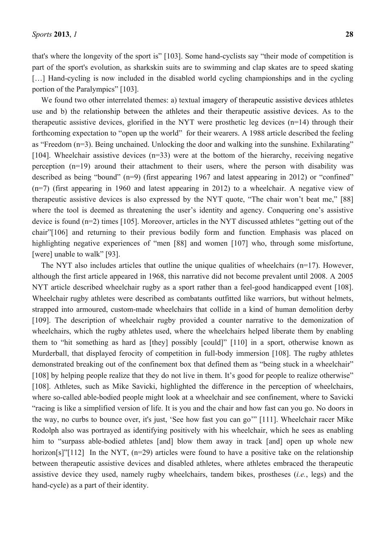that's where the longevity of the sport is" [103]. Some hand-cyclists say "their mode of competition is part of the sport's evolution, as sharkskin suits are to swimming and clap skates are to speed skating [...] Hand-cycling is now included in the disabled world cycling championships and in the cycling portion of the Paralympics" [103].

We found two other interrelated themes: a) textual imagery of therapeutic assistive devices athletes use and b) the relationship between the athletes and their therapeutic assistive devices. As to the therapeutic assistive devices, glorified in the NYT were prosthetic leg devices (n=14) through their forthcoming expectation to "open up the world" for their wearers. A 1988 article described the feeling as "Freedom (n=3). Being unchained. Unlocking the door and walking into the sunshine. Exhilarating" [104]. Wheelchair assistive devices (n=33) were at the bottom of the hierarchy, receiving negative perception (n=19) around their attachment to their users, where the person with disability was described as being "bound" (n=9) (first appearing 1967 and latest appearing in 2012) or "confined" (n=7) (first appearing in 1960 and latest appearing in 2012) to a wheelchair. A negative view of therapeutic assistive devices is also expressed by the NYT quote, "The chair won't beat me," [88] where the tool is deemed as threatening the user's identity and agency. Conquering one's assistive device is found (n=2) times [105]. Moreover, articles in the NYT discussed athletes "getting out of the chair"[106] and returning to their previous bodily form and function. Emphasis was placed on highlighting negative experiences of "men [88] and women [107] who, through some misfortune, [were] unable to walk" [93].

The NYT also includes articles that outline the unique qualities of wheelchairs (n=17). However, although the first article appeared in 1968, this narrative did not become prevalent until 2008. A 2005 NYT article described wheelchair rugby as a sport rather than a feel-good handicapped event [108]. Wheelchair rugby athletes were described as combatants outfitted like warriors, but without helmets, strapped into armoured, custom-made wheelchairs that collide in a kind of human demolition derby [109]. The description of wheelchair rugby provided a counter narrative to the demonization of wheelchairs, which the rugby athletes used, where the wheelchairs helped liberate them by enabling them to "hit something as hard as [they] possibly [could]" [110] in a sport, otherwise known as Murderball, that displayed ferocity of competition in full-body immersion [108]. The rugby athletes demonstrated breaking out of the confinement box that defined them as "being stuck in a wheelchair" [108] by helping people realize that they do not live in them. It's good for people to realize otherwise" [108]. Athletes, such as Mike Savicki, highlighted the difference in the perception of wheelchairs, where so-called able-bodied people might look at a wheelchair and see confinement, where to Savicki "racing is like a simplified version of life. It is you and the chair and how fast can you go. No doors in the way, no curbs to bounce over, it's just, 'See how fast you can go'" [111]. Wheelchair racer Mike Rodolph also was portrayed as identifying positively with his wheelchair, which he sees as enabling him to "surpass able-bodied athletes [and] blow them away in track [and] open up whole new horizon[s]"[112] In the NYT, (n=29) articles were found to have a positive take on the relationship between therapeutic assistive devices and disabled athletes, where athletes embraced the therapeutic assistive device they used, namely rugby wheelchairs, tandem bikes, prostheses (*i.e.*, legs) and the hand-cycle) as a part of their identity.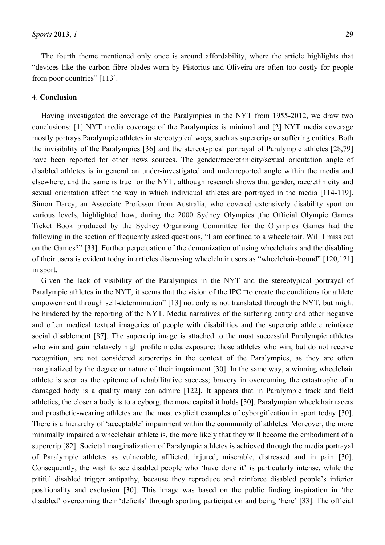The fourth theme mentioned only once is around affordability, where the article highlights that "devices like the carbon fibre blades worn by Pistorius and Oliveira are often too costly for people from poor countries" [113].

## **4**. **Conclusion**

Having investigated the coverage of the Paralympics in the NYT from 1955-2012, we draw two conclusions: [1] NYT media coverage of the Paralympics is minimal and [2] NYT media coverage mostly portrays Paralympic athletes in stereotypical ways, such as supercrips or suffering entities. Both the invisibility of the Paralympics [36] and the stereotypical portrayal of Paralympic athletes [28,79] have been reported for other news sources. The gender/race/ethnicity/sexual orientation angle of disabled athletes is in general an under-investigated and underreported angle within the media and elsewhere, and the same is true for the NYT, although research shows that gender, race/ethnicity and sexual orientation affect the way in which individual athletes are portrayed in the media [114-119]. Simon Darcy, an Associate Professor from Australia, who covered extensively disability sport on various levels, highlighted how, during the 2000 Sydney Olympics ,the Official Olympic Games Ticket Book produced by the Sydney Organizing Committee for the Olympics Games had the following in the section of frequently asked questions, "I am confined to a wheelchair. Will I miss out on the Games?" [33]. Further perpetuation of the demonization of using wheelchairs and the disabling of their users is evident today in articles discussing wheelchair users as "wheelchair-bound" [120,121] in sport.

Given the lack of visibility of the Paralympics in the NYT and the stereotypical portrayal of Paralympic athletes in the NYT, it seems that the vision of the IPC "to create the conditions for athlete empowerment through self-determination" [13] not only is not translated through the NYT, but might be hindered by the reporting of the NYT. Media narratives of the suffering entity and other negative and often medical textual imageries of people with disabilities and the supercrip athlete reinforce social disablement [87]. The supercrip image is attached to the most successful Paralympic athletes who win and gain relatively high profile media exposure; those athletes who win, but do not receive recognition, are not considered supercrips in the context of the Paralympics, as they are often marginalized by the degree or nature of their impairment [30]. In the same way, a winning wheelchair athlete is seen as the epitome of rehabilitative success; bravery in overcoming the catastrophe of a damaged body is a quality many can admire [122]. It appears that in Paralympic track and field athletics, the closer a body is to a cyborg, the more capital it holds [30]. Paralympian wheelchair racers and prosthetic-wearing athletes are the most explicit examples of cyborgification in sport today [30]. There is a hierarchy of 'acceptable' impairment within the community of athletes. Moreover, the more minimally impaired a wheelchair athlete is, the more likely that they will become the embodiment of a supercrip [82]. Societal marginalization of Paralympic athletes is achieved through the media portrayal of Paralympic athletes as vulnerable, afflicted, injured, miserable, distressed and in pain [30]. Consequently, the wish to see disabled people who 'have done it' is particularly intense, while the pitiful disabled trigger antipathy, because they reproduce and reinforce disabled people's inferior positionality and exclusion [30]. This image was based on the public finding inspiration in 'the disabled' overcoming their 'deficits' through sporting participation and being 'here' [33]. The official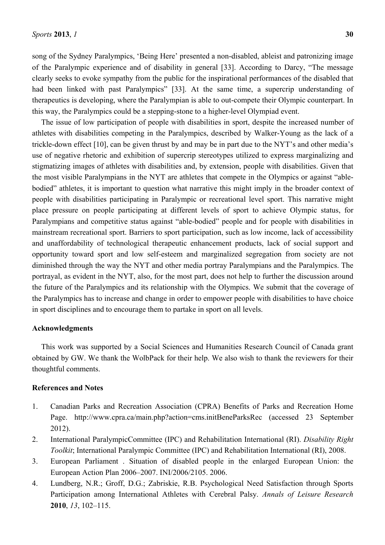song of the Sydney Paralympics, 'Being Here' presented a non-disabled, ableist and patronizing image of the Paralympic experience and of disability in general [33]. According to Darcy, "The message clearly seeks to evoke sympathy from the public for the inspirational performances of the disabled that had been linked with past Paralympics" [33]. At the same time, a supercrip understanding of therapeutics is developing, where the Paralympian is able to out-compete their Olympic counterpart. In this way, the Paralympics could be a stepping-stone to a higher-level Olympiad event.

The issue of low participation of people with disabilities in sport, despite the increased number of athletes with disabilities competing in the Paralympics, described by Walker-Young as the lack of a trickle-down effect [10], can be given thrust by and may be in part due to the NYT's and other media's use of negative rhetoric and exhibition of supercrip stereotypes utilized to express marginalizing and stigmatizing images of athletes with disabilities and, by extension, people with disabilities. Given that the most visible Paralympians in the NYT are athletes that compete in the Olympics or against "ablebodied" athletes, it is important to question what narrative this might imply in the broader context of people with disabilities participating in Paralympic or recreational level sport. This narrative might place pressure on people participating at different levels of sport to achieve Olympic status, for Paralympians and competitive status against "able-bodied" people and for people with disabilities in mainstream recreational sport. Barriers to sport participation, such as low income, lack of accessibility and unaffordability of technological therapeutic enhancement products, lack of social support and opportunity toward sport and low self-esteem and marginalized segregation from society are not diminished through the way the NYT and other media portray Paralympians and the Paralympics. The portrayal, as evident in the NYT, also, for the most part, does not help to further the discussion around the future of the Paralympics and its relationship with the Olympics. We submit that the coverage of the Paralympics has to increase and change in order to empower people with disabilities to have choice in sport disciplines and to encourage them to partake in sport on all levels.

#### **Acknowledgments**

This work was supported by a Social Sciences and Humanities Research Council of Canada grant obtained by GW. We thank the WolbPack for their help. We also wish to thank the reviewers for their thoughtful comments.

## **References and Notes**

- 1. Canadian Parks and Recreation Association (CPRA) Benefits of Parks and Recreation Home Page. http://www.cpra.ca/main.php?action=cms.initBeneParksRec (accessed 23 September 2012).
- 2. International ParalympicCommittee (IPC) and Rehabilitation International (RI). *Disability Right Toolkit*; International Paralympic Committee (IPC) and Rehabilitation International (RI), 2008.
- 3. European Parliament . Situation of disabled people in the enlarged European Union: the European Action Plan 2006–2007. INI/2006/2105. 2006.
- 4. Lundberg, N.R.; Groff, D.G.; Zabriskie, R.B. Psychological Need Satisfaction through Sports Participation among International Athletes with Cerebral Palsy. *Annals of Leisure Research* **2010**, *13*, 102–115.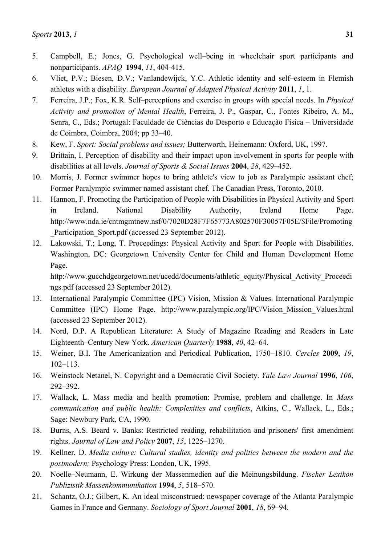- 5. Campbell, E.; Jones, G. Psychological well–being in wheelchair sport participants and nonparticipants. *APAQ* **1994**, *11*, 404-415.
- 6. Vliet, P.V.; Biesen, D.V.; Vanlandewijck, Y.C. Athletic identity and self–esteem in Flemish athletes with a disability. *European Journal of Adapted Physical Activity* **2011**, *1*, 1.
- 7. Ferreira, J.P.; Fox, K.R. Self–perceptions and exercise in groups with special needs. In *Physical Activity and promotion of Mental Health*, Ferreira, J. P., Gaspar, C., Fontes Ribeiro, A. M., Senra, C., Eds.; Portugal: Faculdade de Ciências do Desporto e Educação Física – Universidade de Coimbra, Coimbra, 2004; pp 33–40.
- 8. Kew, F. *Sport: Social problems and issues;* Butterworth, Heinemann: Oxford, UK, 1997.
- 9. Brittain, I. Perception of disability and their impact upon involvement in sports for people with disabilities at all levels. *Journal of Sports & Social Issues* **2004**, *28*, 429–452.
- 10. Morris, J. Former swimmer hopes to bring athlete's view to job as Paralympic assistant chef; Former Paralympic swimmer named assistant chef. The Canadian Press, Toronto, 2010.
- 11. Hannon, F. Promoting the Participation of People with Disabilities in Physical Activity and Sport in Ireland. National Disability Authority, Ireland Home Page. http://www.nda.ie/cntmgmtnew.nsf/0/7020D28F7F65773A802570F30057F05E/\$File/Promoting Participation Sport.pdf (accessed 23 September 2012).
- 12. Lakowski, T.; Long, T. Proceedings: Physical Activity and Sport for People with Disabilities. Washington, DC: Georgetown University Center for Child and Human Development Home Page.

http://www.gucchdgeorgetown.net/ucedd/documents/athletic\_equity/Physical\_Activity\_Proceedi ngs.pdf (accessed 23 September 2012).

- 13. International Paralympic Committee (IPC) Vision, Mission & Values. International Paralympic Committee (IPC) Home Page. http://www.paralympic.org/IPC/Vision\_Mission\_Values.html (accessed 23 September 2012).
- 14. Nord, D.P. A Republican Literature: A Study of Magazine Reading and Readers in Late Eighteenth–Century New York. *American Quarterly* **1988**, *40*, 42–64.
- 15. Weiner, B.I. The Americanization and Periodical Publication, 1750–1810. *Cercles* **2009**, *19*, 102–113.
- 16. Weinstock Netanel, N. Copyright and a Democratic Civil Society. *Yale Law Journal* **1996**, *106*, 292–392.
- 17. Wallack, L. Mass media and health promotion: Promise, problem and challenge. In *Mass communication and public health: Complexities and conflicts*, Atkins, C., Wallack, L., Eds.; Sage: Newbury Park, CA, 1990.
- 18. Burns, A.S. Beard v. Banks: Restricted reading, rehabilitation and prisoners' first amendment rights. *Journal of Law and Policy* **2007**, *15*, 1225–1270.
- 19. Kellner, D. *Media culture: Cultural studies, identity and politics between the modern and the postmodern;* Psychology Press: London, UK, 1995.
- 20. Noelle–Neumann, E. Wirkung der Massenmedien auf die Meinungsbildung. *Fischer Lexikon Publizistik Massenkommunikation* **1994**, *5*, 518–570.
- 21. Schantz, O.J.; Gilbert, K. An ideal misconstrued: newspaper coverage of the Atlanta Paralympic Games in France and Germany. *Sociology of Sport Journal* **2001**, *18*, 69–94.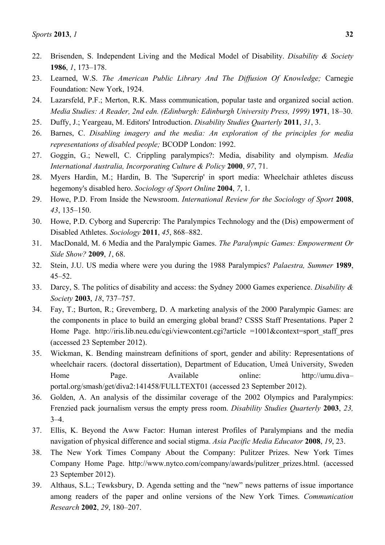- 22. Brisenden, S. Independent Living and the Medical Model of Disability. *Disability & Society* **1986**, *1*, 173–178.
- 23. Learned, W.S. *The American Public Library And The Diffusion Of Knowledge;* Carnegie Foundation: New York, 1924.
- 24. Lazarsfeld, P.F.; Merton, R.K. Mass communication, popular taste and organized social action. *Media Studies: A Reader, 2nd edn. (Edinburgh: Edinburgh University Press, 1999)* **1971**, 18–30.
- 25. Duffy, J.; Yeargeau, M. Editors' Introduction. *Disability Studies Quarterly* **2011**, *31*, 3.
- 26. Barnes, C. *Disabling imagery and the media: An exploration of the principles for media representations of disabled people;* BCODP London: 1992.
- 27. Goggin, G.; Newell, C. Crippling paralympics?: Media, disability and olympism. *Media International Australia, Incorporating Culture & Policy* **2000**, *97*, 71.
- 28. Myers Hardin, M.; Hardin, B. The 'Supercrip' in sport media: Wheelchair athletes discuss hegemony's disabled hero. *Sociology of Sport Online* **2004**, *7*, 1.
- 29. Howe, P.D. From Inside the Newsroom. *International Review for the Sociology of Sport* **2008**, *43*, 135–150.
- 30. Howe, P.D. Cyborg and Supercrip: The Paralympics Technology and the (Dis) empowerment of Disabled Athletes. *Sociology* **2011**, *45*, 868–882.
- 31. MacDonald, M. 6 Media and the Paralympic Games. *The Paralympic Games: Empowerment Or Side Show?* **2009**, *1*, 68.
- 32. Stein, J.U. US media where were you during the 1988 Paralympics? *Palaestra, Summer* **1989**, 45–52.
- 33. Darcy, S. The politics of disability and access: the Sydney 2000 Games experience. *Disability & Society* **2003**, *18*, 737–757.
- 34. Fay, T.; Burton, R.; Grevemberg, D. A marketing analysis of the 2000 Paralympic Games: are the components in place to build an emerging global brand? CSSS Staff Presentations. Paper 2 Home Page. http://iris.lib.neu.edu/cgi/viewcontent.cgi?article =1001&context=sport staff pres (accessed 23 September 2012).
- 35. Wickman, K. Bending mainstream definitions of sport, gender and ability: Representations of wheelchair racers. (doctoral dissertation), Department of Education, Umeå University, Sweden Home Page. Available online: http://umu.divaportal.org/smash/get/diva2:141458/FULLTEXT01 (accessed 23 September 2012).
- 36. Golden, A. An analysis of the dissimilar coverage of the 2002 Olympics and Paralympics: Frenzied pack journalism versus the empty press room. *Disability Studies Quarterly* **2003**, *23,*  $3-4.$
- 37. Ellis, K. Beyond the Aww Factor: Human interest Profiles of Paralympians and the media navigation of physical difference and social stigma. *Asia Pacific Media Educator* **2008**, *19*, 23.
- 38. The New York Times Company About the Company: Pulitzer Prizes. New York Times Company Home Page. http://www.nytco.com/company/awards/pulitzer\_prizes.html. (accessed 23 September 2012).
- 39. Althaus, S.L.; Tewksbury, D. Agenda setting and the "new" news patterns of issue importance among readers of the paper and online versions of the New York Times. *Communication Research* **2002**, *29*, 180–207.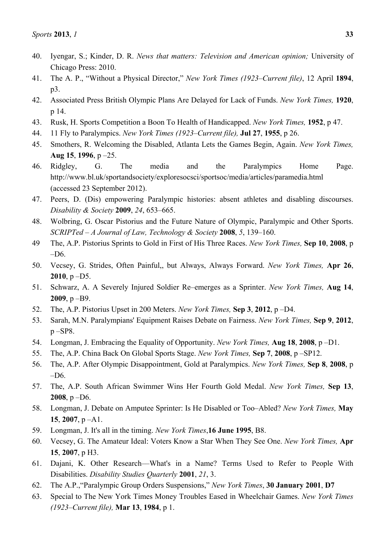- 40. Iyengar, S.; Kinder, D. R. *News that matters: Television and American opinion;* University of Chicago Press: 2010.
- 41. The A. P., "Without a Physical Director," *New York Times (1923–Current file)*, 12 April **1894**, p3.
- 42. Associated Press British Olympic Plans Are Delayed for Lack of Funds. *New York Times,* **1920**, p 14.
- 43. Rusk, H. Sports Competition a Boon To Health of Handicapped. *New York Times,* **1952**, p 47.
- 44. 11 Fly to Paralympics. *New York Times (1923–Current file),* **Jul 27**, **1955**, p 26.
- 45. Smothers, R. Welcoming the Disabled, Atlanta Lets the Games Begin, Again. *New York Times,* **Aug 15**, **1996**, p –25.
- 46. Ridgley, G. The media and the Paralympics Home Page. http://www.bl.uk/sportandsociety/exploresocsci/sportsoc/media/articles/paramedia.html (accessed 23 September 2012).
- 47. Peers, D. (Dis) empowering Paralympic histories: absent athletes and disabling discourses. *Disability & Society* **2009**, *24*, 653–665.
- 48. Wolbring, G. Oscar Pistorius and the Future Nature of Olympic, Paralympic and Other Sports. *SCRIPTed – A Journal of Law, Technology & Society* **2008**, *5*, 139–160.
- 49 The, A.P. Pistorius Sprints to Gold in First of His Three Races. *New York Times,* **Sep 10**, **2008**, p  $-D6$
- 50. Vecsey, G. Strides, Often Painful,, but Always, Always Forward. *New York Times,* **Apr 26**, **2010**, p –D5.
- 51. Schwarz, A. A Severely Injured Soldier Re–emerges as a Sprinter. *New York Times,* **Aug 14**, **2009**, p –B9.
- 52. The, A.P. Pistorius Upset in 200 Meters. *New York Times,* **Sep 3**, **2012**, p –D4.
- 53. Sarah, M.N. Paralympians' Equipment Raises Debate on Fairness. *New York Times,* **Sep 9**, **2012**, p –SP8.
- 54. Longman, J. Embracing the Equality of Opportunity. *New York Times,* **Aug 18**, **2008**, p –D1.
- 55. The, A.P. China Back On Global Sports Stage. *New York Times,* **Sep 7**, **2008**, p –SP12.
- 56. The, A.P. After Olympic Disappointment, Gold at Paralympics. *New York Times,* **Sep 8**, **2008**, p –D6.
- 57. The, A.P. South African Swimmer Wins Her Fourth Gold Medal. *New York Times,* **Sep 13**, **2008**, p –D6.
- 58. Longman, J. Debate on Amputee Sprinter: Is He Disabled or Too–Abled? *New York Times,* **May 15**, **2007**, p –A1.
- 59. Longman, J. It's all in the timing. *New York Times*,**16 June 1995**, B8.
- 60. Vecsey, G. The Amateur Ideal: Voters Know a Star When They See One. *New York Times,* **Apr 15**, **2007**, p H3.
- 61. Dajani, K. Other Research––What's in a Name? Terms Used to Refer to People With Disabilities. *Disability Studies Quarterly* **2001**, *21*, 3.
- 62. The A.P.,"Paralympic Group Orders Suspensions," *New York Times*, **30 January 2001**, **D7**
- 63. Special to The New York Times Money Troubles Eased in Wheelchair Games. *New York Times (1923–Current file),* **Mar 13**, **1984**, p 1.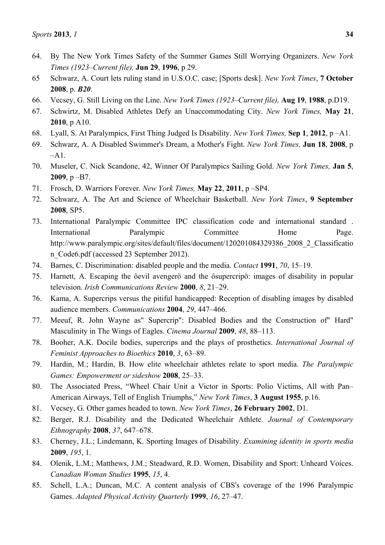- 64. By The New York Times Safety of the Summer Games Still Worrying Organizers. *New York Times (1923–Current file),* **Jun 29**, **1996**, p 29.
- 65 Schwarz, A. Court lets ruling stand in U.S.O.C. case; [Sports desk]. *New York Times*, **7 October 2008**, p. *B20*.
- 66. Vecsey, G. Still Living on the Line. *New York Times (1923–Current file),* **Aug 19**, **1988**, p.D19.
- 67. Schwirtz, M. Disabled Athletes Defy an Unaccommodating City. *New York Times,* **May 21**, **2010**, p A10.
- 68. Lyall, S. At Paralympics, First Thing Judged Is Disability. *New York Times,* **Sep 1**, **2012**, p –A1.
- 69. Schwarz, A. A Disabled Swimmer's Dream, a Mother's Fight. *New York Times,* **Jun 18**, **2008**, p  $-A1.$
- 70. Museler, C. Nick Scandone, 42, Winner Of Paralympics Sailing Gold. *New York Times,* **Jan 5**, **2009**, p –B7.
- 71. Frosch, D. Warriors Forever. *New York Times,* **May 22**, **2011**, p –SP4.
- 72. Schwarz, A. The Art and Science of Wheelchair Basketball. *New York Times*, **9 September 2008**, SP5.
- 73. International Paralympic Committee IPC classification code and international standard . International Paralympic Committee Home Page. http://www.paralympic.org/sites/default/files/document/120201084329386\_2008\_2\_Classificatio n\_Code6.pdf (accessed 23 September 2012).
- 74. Barnes, C. Discrimination: disabled people and the media. *Contact* **1991**, *70*, 15–19.
- 75. Harnett, A. Escaping the ôevil avengerö and the ôsupercripö: images of disability in popular television. *Irish Communications Review* **2000**, *8*, 21–29.
- 76. Kama, A. Supercrips versus the pitiful handicapped: Reception of disabling images by disabled audience members. *Communications* **2004**, *29*, 447–466.
- 77. Meeuf, R. John Wayne as" Supercrip": Disabled Bodies and the Construction of" Hard" Masculinity in The Wings of Eagles. *Cinema Journal* **2009**, *48*, 88–113.
- 78. Booher, A.K. Docile bodies, supercrips and the plays of prosthetics. *International Journal of Feminist Approaches to Bioethics* **2010**, *3*, 63–89.
- 79. Hardin, M.; Hardin, B. How elite wheelchair athletes relate to sport media. *The Paralympic Games: Empowerment or sideshow* **2008**, 25–33.
- 80. The Associated Press, "Wheel Chair Unit a Victor in Sports: Polio Victims, All with Pan– American Airways, Tell of English Triumphs," *New York Times*, **3 August 1955**, p.16.
- 81. Vecsey, G. Other games headed to town. *New York Times*, **26 February 2002**, D1.
- 82. Berger, R.J. Disability and the Dedicated Wheelchair Athlete. *Journal of Contemporary Ethnography* **2008**, *37*, 647–678.
- 83. Cherney, J.L.; Lindemann, K. Sporting Images of Disability. *Examining identity in sports media* **2009**, *195*, 1.
- 84. Olenik, L.M.; Matthews, J.M.; Steadward, R.D. Women, Disability and Sport: Unheard Voices. *Canadian Woman Studies* **1995**, *15*, 4.
- 85. Schell, L.A.; Duncan, M.C. A content analysis of CBS's coverage of the 1996 Paralympic Games. *Adapted Physical Activity Quarterly* **1999**, *16*, 27–47.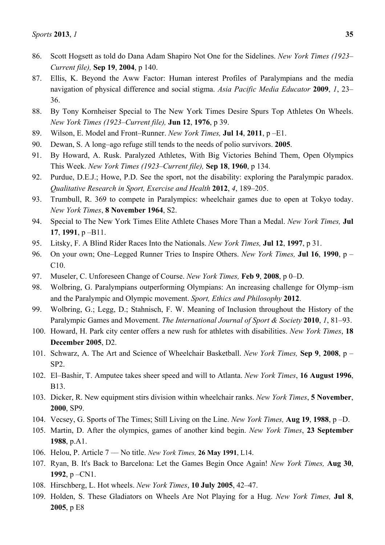- 86. Scott Hogsett as told do Dana Adam Shapiro Not One for the Sidelines. *New York Times (1923– Current file),* **Sep 19**, **2004**, p 140.
- 87. Ellis, K. Beyond the Aww Factor: Human interest Profiles of Paralympians and the media navigation of physical difference and social stigma. *Asia Pacific Media Educator* **2009**, *1*, 23– 36.
- 88. By Tony Kornheiser Special to The New York Times Desire Spurs Top Athletes On Wheels. *New York Times (1923–Current file),* **Jun 12**, **1976**, p 39.
- 89. Wilson, E. Model and Front–Runner. *New York Times,* **Jul 14**, **2011**, p –E1.
- 90. Dewan, S. A long–ago refuge still tends to the needs of polio survivors. **2005**.
- 91. By Howard, A. Rusk. Paralyzed Athletes, With Big Victories Behind Them, Open Olympics This Week. *New York Times (1923–Current file),* **Sep 18**, **1960**, p 134.
- 92. Purdue, D.E.J.; Howe, P.D. See the sport, not the disability: exploring the Paralympic paradox. *Qualitative Research in Sport, Exercise and Health* **2012**, *4*, 189–205.
- 93. Trumbull, R. 369 to compete in Paralympics: wheelchair games due to open at Tokyo today. *New York Times*, **8 November 1964**, S2.
- 94. Special to The New York Times Elite Athlete Chases More Than a Medal. *New York Times,* **Jul 17**, **1991**, p –B11.
- 95. Litsky, F. A Blind Rider Races Into the Nationals. *New York Times,* **Jul 12**, **1997**, p 31.
- 96. On your own; One–Legged Runner Tries to Inspire Others. *New York Times,* **Jul 16**, **1990**, p C10.
- 97. Museler, C. Unforeseen Change of Course. *New York Times,* **Feb 9**, **2008**, p 0–D.
- 98. Wolbring, G. Paralympians outperforming Olympians: An increasing challenge for Olymp–ism and the Paralympic and Olympic movement. *Sport, Ethics and Philosophy* **2012**.
- 99. Wolbring, G.; Legg, D.; Stahnisch, F. W. Meaning of Inclusion throughout the History of the Paralympic Games and Movement. *The International Journal of Sport & Society* **2010**, *1*, 81–93.
- 100. Howard, H. Park city center offers a new rush for athletes with disabilities. *New York Times*, **18 December 2005**, D2.
- 101. Schwarz, A. The Art and Science of Wheelchair Basketball. *New York Times,* **Sep 9**, **2008**, p SP2.
- 102. El–Bashir, T. Amputee takes sheer speed and will to Atlanta. *New York Times*, **16 August 1996**, B13.
- 103. Dicker, R. New equipment stirs division within wheelchair ranks. *New York Times*, **5 November**, **2000**, SP9.
- 104. Vecsey, G. Sports of The Times; Still Living on the Line. *New York Times,* **Aug 19**, **1988**, p –D.
- 105. Martin, D. After the olympics, games of another kind begin. *New York Times*, **23 September 1988**, p.A1.
- 106. Helou, P. Article 7 –– No title. *New York Times,* **26 May 1991**, L14.
- 107. Ryan, B. It's Back to Barcelona: Let the Games Begin Once Again! *New York Times,* **Aug 30**, **1992**, p –CN1.
- 108. Hirschberg, L. Hot wheels. *New York Times*, **10 July 2005**, 42–47.
- 109. Holden, S. These Gladiators on Wheels Are Not Playing for a Hug. *New York Times,* **Jul 8**, **2005**, p E8